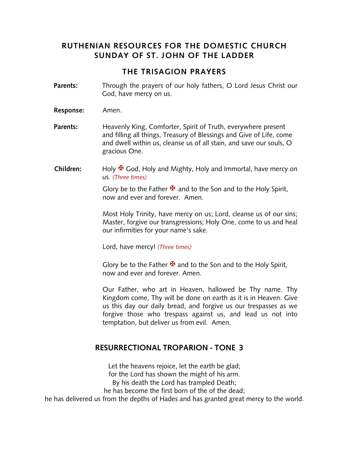### **RUTHENIAN RESOURCES FOR THE DOMESTIC CHURCH SUNDAY OF ST. JOHN OF THE LADDER**

#### **THE TRISAGION PRAYERS**

- **Parents:** Through the prayers of our holy fathers, O Lord Jesus Christ our God, have mercy on us.
- **Response:** Amen.
- **Parents:** Heavenly King, Comforter, Spirit of Truth, everywhere present and filling all things, Treasury of Blessings and Give of Life, come and dwell within us, cleanse us of all stain, and save our souls, O gracious One.
- **Children:** Holy <sup>★</sup> God, Holy and Mighty, Holy and Immortal, have mercy on us. *(Three times)*

Glory be to the Father  $\mathbf{\Psi}$  and to the Son and to the Holy Spirit, now and ever and forever. Amen.

Most Holy Trinity, have mercy on us; Lord, cleanse us of our sins; Master, forgive our transgressions; Holy One, come to us and heal our infirmities for your name's sake.

Lord, have mercy! *(Three times)*

Glory be to the Father  $\mathbf{\Sigma}$  and to the Son and to the Holy Spirit, now and ever and forever. Amen.

Our Father, who art in Heaven, hallowed be Thy name. Thy Kingdom come, Thy will be done on earth as it is in Heaven. Give us this day our daily bread, and forgive us our trespasses as we forgive those who trespass against us, and lead us not into temptation, but deliver us from evil. Amen.

#### **RESURRECTIONAL TROPARION - TONE 3**

Let the heavens rejoice, let the earth be glad; for the Lord has shown the might of his arm. By his death the Lord has trampled Death; he has become the first born of the of the dead; he has delivered us from the depths of Hades and has granted great mercy to the world.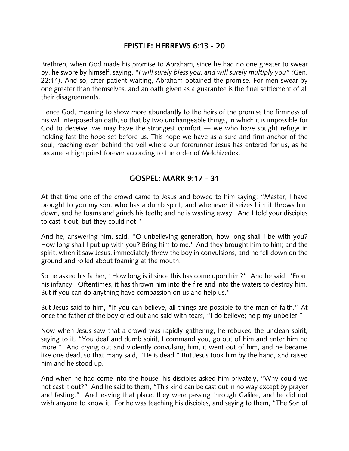### **EPISTLE: HEBREWS 6:13 - 20**

Brethren, when God made his promise to Abraham, since he had no one greater to swear by, he swore by himself, saying, "*I will surely bless you, and will surely multiply you" (*Gen. 22:14). And so, after patient waiting, Abraham obtained the promise. For men swear by one greater than themselves, and an oath given as a guarantee is the final settlement of all their disagreements.

Hence God, meaning to show more abundantly to the heirs of the promise the firmness of his will interposed an oath, so that by two unchangeable things, in which it is impossible for God to deceive, we may have the strongest comfort  $-$  we who have sought refuge in holding fast the hope set before us. This hope we have as a sure and firm anchor of the soul, reaching even behind the veil where our forerunner Jesus has entered for us, as he became a high priest forever according to the order of Melchizedek.

## **GOSPEL: MARK 9:17 - 31**

At that time one of the crowd came to Jesus and bowed to him saying: "Master, I have brought to you my son, who has a dumb spirit; and whenever it seizes him it throws him down, and he foams and grinds his teeth; and he is wasting away. And I told your disciples to cast it out, but they could not."

And he, answering him, said, "O unbelieving generation, how long shall I be with you? How long shall I put up with you? Bring him to me." And they brought him to him; and the spirit, when it saw Jesus, immediately threw the boy in convulsions, and he fell down on the ground and rolled about foaming at the mouth.

So he asked his father, "How long is it since this has come upon him?" And he said, "From his infancy. Oftentimes, it has thrown him into the fire and into the waters to destroy him. But if you can do anything have compassion on us and help us."

But Jesus said to him, "If you can believe, all things are possible to the man of faith." At once the father of the boy cried out and said with tears, "I do believe; help my unbelief."

Now when Jesus saw that a crowd was rapidly gathering, he rebuked the unclean spirit, saying to it, "You deaf and dumb spirit, I command you, go out of him and enter him no more." And crying out and violently convulsing him, it went out of him, and he became like one dead, so that many said, "He is dead." But Jesus took him by the hand, and raised him and he stood up.

And when he had come into the house, his disciples asked him privately, "Why could we not cast it out?" And he said to them, "This kind can be cast out in no way except by prayer and fasting." And leaving that place, they were passing through Galilee, and he did not wish anyone to know it. For he was teaching his disciples, and saying to them, "The Son of